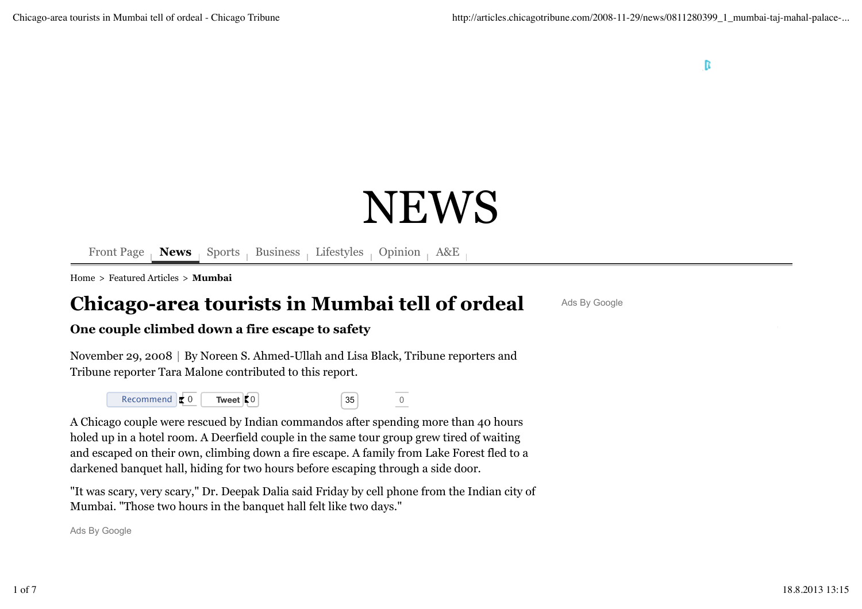# NEWS

Front Page **News** Sports Business Lifestyles Opinion A&E

Home > Featured Articles > **Mumbai**

# **Chicago-area tourists in Mumbai tell of ordeal**

Ads By Google

### **One couple climbed down a fire escape to safety**

November 29, 2008 | By Noreen S. Ahmed-Ullah and Lisa Black, Tribune reporters and Tribune reporter Tara Malone contributed to this report.



A Chicago couple were rescued by Indian commandos after spending more than 40 hours holed up in a hotel room. A Deerfield couple in the same tour group grew tired of waiting and escaped on their own, climbing down a fire escape. A family from Lake Forest fled to a darkened banquet hall, hiding for two hours before escaping through a side door.

"It was scary, very scary," Dr. Deepak Dalia said Friday by cell phone from the Indian city of Mumbai. "Those two hours in the banquet hall felt like two days."

Ads By Google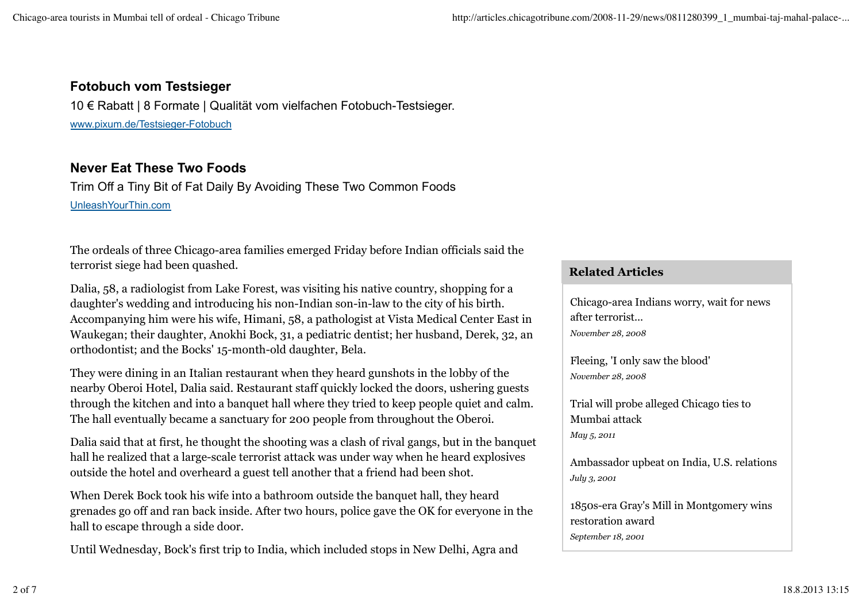## **Fotobuch vom Testsieger**

10 € Rabatt | 8 Formate | Qualität vom vielfachen Fotobuch-Testsieger. www.pixum.de/Testsieger-Fotobuch

# **Never Eat These Two Foods**

Trim Off a Tiny Bit of Fat Daily By Avoiding These Two Common Foods UnleashYourThin.com

The ordeals of three Chicago-area families emerged Friday before Indian officials said the terrorist siege had been quashed.

Dalia, 58, a radiologist from Lake Forest, was visiting his native country, shopping for a daughter's wedding and introducing his non-Indian son-in-law to the city of his birth. Accompanying him were his wife, Himani, 58, a pathologist at Vista Medical Center East in Waukegan; their daughter, Anokhi Bock, 31, a pediatric dentist; her husband, Derek, 32, an orthodontist; and the Bocks' 15-month-old daughter, Bela.

They were dining in an Italian restaurant when they heard gunshots in the lobby of the nearby Oberoi Hotel, Dalia said. Restaurant staff quickly locked the doors, ushering guests through the kitchen and into a banquet hall where they tried to keep people quiet and calm. The hall eventually became a sanctuary for 200 people from throughout the Oberoi.

Dalia said that at first, he thought the shooting was a clash of rival gangs, but in the banquet hall he realized that a large-scale terrorist attack was under way when he heard explosives outside the hotel and overheard a guest tell another that a friend had been shot.

When Derek Bock took his wife into a bathroom outside the banquet hall, they heard grenades go off and ran back inside. After two hours, police gave the OK for everyone in the hall to escape through a side door.

Until Wednesday, Bock's first trip to India, which included stops in New Delhi, Agra and

#### **Related Articles**

Chicago-area Indians worry, wait for news after terrorist... *November 28, 2008*

Fleeing, 'I only saw the blood' *November 28, 2008*

Trial will probe alleged Chicago ties to Mumbai attack *May 5, 2011*

Ambassador upbeat on India, U.S. relations *July 3, 2001*

1850s-era Gray's Mill in Montgomery wins restoration award *September 18, 2001*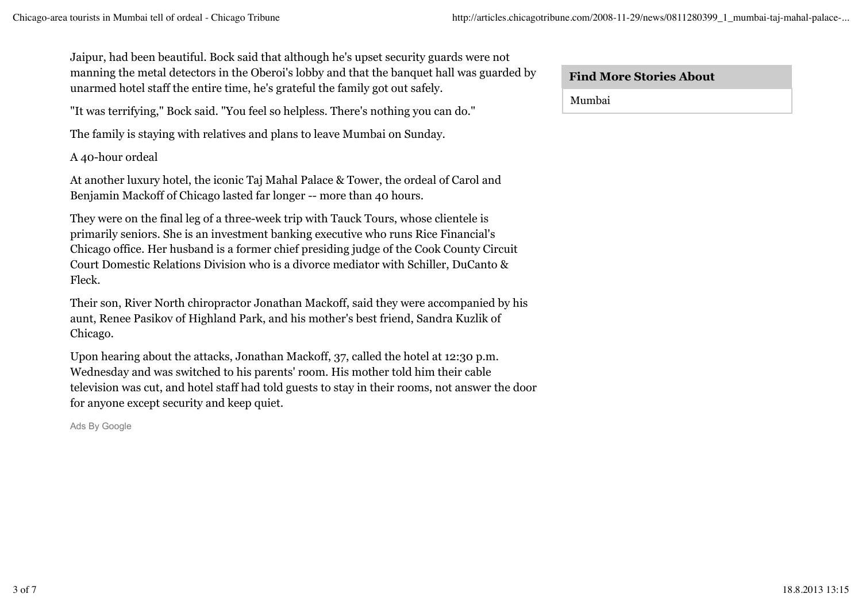Jaipur, had been beautiful. Bock said that although he's upset security guards were not manning the metal detectors in the Oberoi's lobby and that the banquet hall was guarded by unarmed hotel staff the entire time, he's grateful the family got out safely.

"It was terrifying," Bock said. "You feel so helpless. There's nothing you can do."

The family is staying with relatives and plans to leave Mumbai on Sunday.

A 40-hour ordeal

At another luxury hotel, the iconic Taj Mahal Palace & Tower, the ordeal of Carol and Benjamin Mackoff of Chicago lasted far longer -- more than 40 hours.

They were on the final leg of a three-week trip with Tauck Tours, whose clientele is primarily seniors. She is an investment banking executive who runs Rice Financial's Chicago office. Her husband is a former chief presiding judge of the Cook County Circuit Court Domestic Relations Division who is a divorce mediator with Schiller, DuCanto & Fleck.

Their son, River North chiropractor Jonathan Mackoff, said they were accompanied by his aunt, Renee Pasikov of Highland Park, and his mother's best friend, Sandra Kuzlik of Chicago.

Upon hearing about the attacks, Jonathan Mackoff, 37, called the hotel at 12:30 p.m. Wednesday and was switched to his parents' room. His mother told him their cable television was cut, and hotel staff had told guests to stay in their rooms, not answer the door for anyone except security and keep quiet.

Ads By Google

Mumbai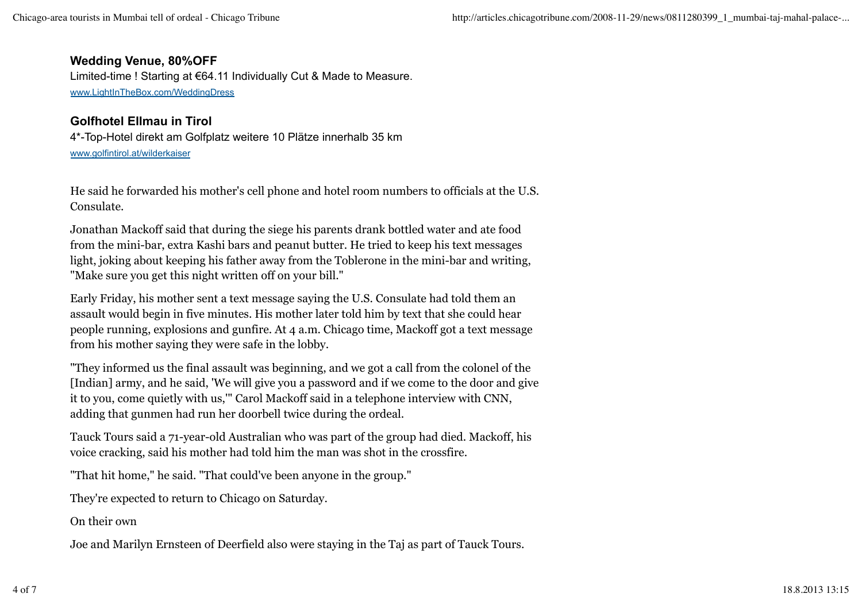#### **Wedding Venue, 80%OFF**

Limited-time ! Starting at €64.11 Individually Cut & Made to Measure. www.LightInTheBox.com/WeddingDress

## **Golfhotel Ellmau in Tirol**

4\*-Top-Hotel direkt am Golfplatz weitere 10 Plätze innerhalb 35 km www.golfintirol.at/wilderkaiser

He said he forwarded his mother's cell phone and hotel room numbers to officials at the U.S. Consulate.

Jonathan Mackoff said that during the siege his parents drank bottled water and ate food from the mini-bar, extra Kashi bars and peanut butter. He tried to keep his text messages light, joking about keeping his father away from the Toblerone in the mini-bar and writing, "Make sure you get this night written off on your bill."

Early Friday, his mother sent a text message saying the U.S. Consulate had told them an assault would begin in five minutes. His mother later told him by text that she could hear people running, explosions and gunfire. At 4 a.m. Chicago time, Mackoff got a text message from his mother saying they were safe in the lobby.

"They informed us the final assault was beginning, and we got a call from the colonel of the [Indian] army, and he said, 'We will give you a password and if we come to the door and give it to you, come quietly with us,'" Carol Mackoff said in a telephone interview with CNN, adding that gunmen had run her doorbell twice during the ordeal.

Tauck Tours said a 71-year-old Australian who was part of the group had died. Mackoff, his voice cracking, said his mother had told him the man was shot in the crossfire.

"That hit home," he said. "That could've been anyone in the group."

They're expected to return to Chicago on Saturday.

On their own

Joe and Marilyn Ernsteen of Deerfield also were staying in the Taj as part of Tauck Tours.